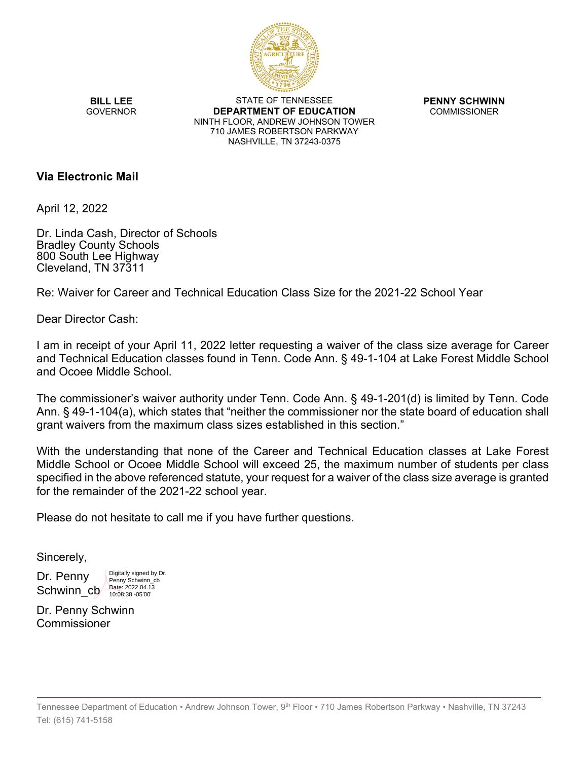

**BILL LEE GOVERNOR** 

STATE OF TENNESSEE **DEPARTMENT OF EDUCATION** NINTH FLOOR, ANDREW JOHNSON TOWER 710 JAMES ROBERTSON PARKWAY NASHVILLE, TN 37243-0375

**PENNY SCHWINN** COMMISSIONER

## **Via Electronic Mail**

April 12, 2022

Dr. Linda Cash, Director of Schools Bradley County Schools 800 South Lee Highway Cleveland, TN 37311

Re: Waiver for Career and Technical Education Class Size for the 2021-22 School Year

Dear Director Cash:

I am in receipt of your April 11, 2022 letter requesting a waiver of the class size average for Career and Technical Education classes found in Tenn. Code Ann. § 49-1-104 at Lake Forest Middle School and Ocoee Middle School.

The commissioner's waiver authority under Tenn. Code Ann. § 49-1-201(d) is limited by Tenn. Code Ann. § 49-1-104(a), which states that "neither the commissioner nor the state board of education shall grant waivers from the maximum class sizes established in this section."

With the understanding that none of the Career and Technical Education classes at Lake Forest Middle School or Ocoee Middle School will exceed 25, the maximum number of students per class specified in the above referenced statute, your request for a waiver of the class size average is granted for the remainder of the 2021-22 school year.

Please do not hesitate to call me if you have further questions.

Sincerely,

Dr. Penny Schwinn\_cb

Digitally signed by Dr. Penny Schwinn\_cb Date: 2022.04.13 10:08:38 -05'00'

Dr. Penny Schwinn Commissioner